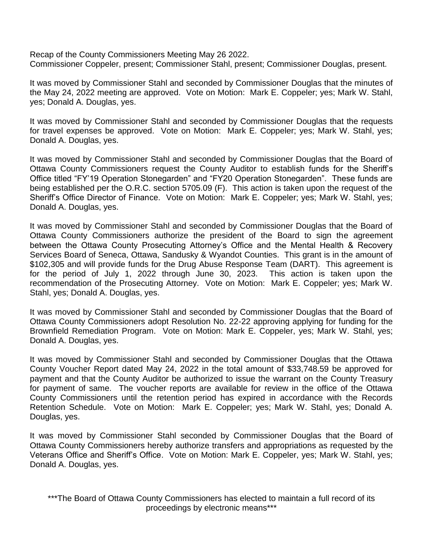Recap of the County Commissioners Meeting May 26 2022. Commissioner Coppeler, present; Commissioner Stahl, present; Commissioner Douglas, present.

It was moved by Commissioner Stahl and seconded by Commissioner Douglas that the minutes of the May 24, 2022 meeting are approved. Vote on Motion: Mark E. Coppeler; yes; Mark W. Stahl, yes; Donald A. Douglas, yes.

It was moved by Commissioner Stahl and seconded by Commissioner Douglas that the requests for travel expenses be approved. Vote on Motion: Mark E. Coppeler; yes; Mark W. Stahl, yes; Donald A. Douglas, yes.

It was moved by Commissioner Stahl and seconded by Commissioner Douglas that the Board of Ottawa County Commissioners request the County Auditor to establish funds for the Sheriff's Office titled "FY'19 Operation Stonegarden" and "FY20 Operation Stonegarden". These funds are being established per the O.R.C. section 5705.09 (F). This action is taken upon the request of the Sheriff's Office Director of Finance. Vote on Motion: Mark E. Coppeler; yes; Mark W. Stahl, yes; Donald A. Douglas, yes.

It was moved by Commissioner Stahl and seconded by Commissioner Douglas that the Board of Ottawa County Commissioners authorize the president of the Board to sign the agreement between the Ottawa County Prosecuting Attorney's Office and the Mental Health & Recovery Services Board of Seneca, Ottawa, Sandusky & Wyandot Counties. This grant is in the amount of \$102,305 and will provide funds for the Drug Abuse Response Team (DART). This agreement is for the period of July 1, 2022 through June 30, 2023. This action is taken upon the recommendation of the Prosecuting Attorney. Vote on Motion: Mark E. Coppeler; yes; Mark W. Stahl, yes; Donald A. Douglas, yes.

It was moved by Commissioner Stahl and seconded by Commissioner Douglas that the Board of Ottawa County Commissioners adopt Resolution No. 22-22 approving applying for funding for the Brownfield Remediation Program. Vote on Motion: Mark E. Coppeler, yes; Mark W. Stahl, yes; Donald A. Douglas, yes.

It was moved by Commissioner Stahl and seconded by Commissioner Douglas that the Ottawa County Voucher Report dated May 24, 2022 in the total amount of \$33,748.59 be approved for payment and that the County Auditor be authorized to issue the warrant on the County Treasury for payment of same. The voucher reports are available for review in the office of the Ottawa County Commissioners until the retention period has expired in accordance with the Records Retention Schedule. Vote on Motion: Mark E. Coppeler; yes; Mark W. Stahl, yes; Donald A. Douglas, yes.

It was moved by Commissioner Stahl seconded by Commissioner Douglas that the Board of Ottawa County Commissioners hereby authorize transfers and appropriations as requested by the Veterans Office and Sheriff's Office. Vote on Motion: Mark E. Coppeler, yes; Mark W. Stahl, yes; Donald A. Douglas, yes.

\*\*\*The Board of Ottawa County Commissioners has elected to maintain a full record of its proceedings by electronic means\*\*\*